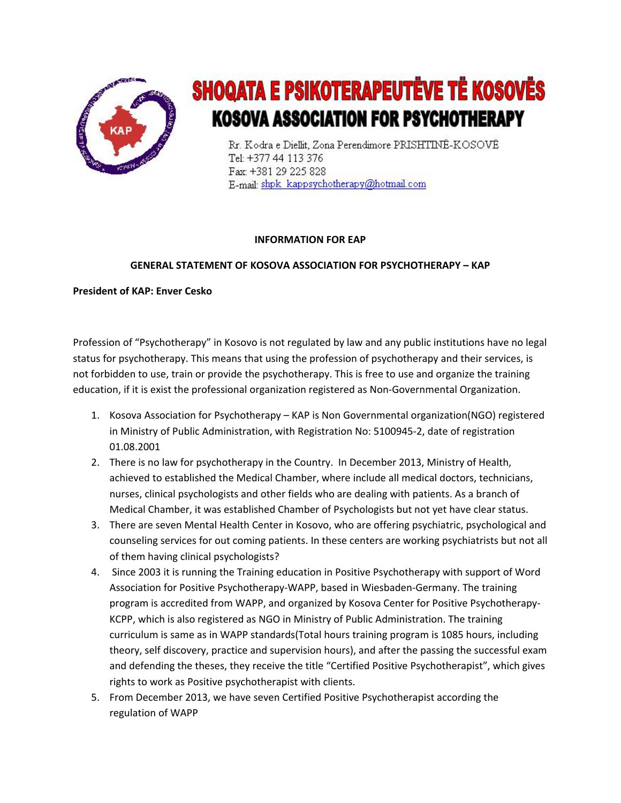

## SHOQATA E PSIKOTERAPEUTËVE TË KOSOVËS **KOSOVA ASSOCIATION FOR PSYCHOTHERAPY**

Rr. Kodra e Diellit, Zona Perendimore PRISHTINË-KOSOVË Tel: +377 44 113 376 Fax: +381 29 225 828 E-mail: shpk\_kappsychotherapy@hotmail.com

## **INFORMATION FOR EAP**

## GENERAL STATEMENT OF KOSOVA ASSOCIATION FOR PSYCHOTHERAPY – KAP

**President of KAP: Enver Cesko** 

Profession of "Psychotherapy" in Kosovo is not regulated by law and any public institutions have no legal status for psychotherapy. This means that using the profession of psychotherapy and their services, is not forbidden to use, train or provide the psychotherapy. This is free to use and organize the training education, if it is exist the professional organization registered as Non-Governmental Organization.

- 1. Kosova Association for Psychotherapy KAP is Non Governmental organization(NGO) registered in Ministry of Public Administration, with Registration No: 5100945-2, date of registration 01.08.2001
- 2. There is no law for psychotherapy in the Country. In December 2013, Ministry of Health, achieved to established the Medical Chamber, where include all medical doctors, technicians, nurses, clinical psychologists and other fields who are dealing with patients. As a branch of Medical Chamber, it was established Chamber of Psychologists but not yet have clear status.
- 3. There are seven Mental Health Center in Kosovo, who are offering psychiatric, psychological and counseling services for out coming patients. In these centers are working psychiatrists but not all of them having clinical psychologists?
- 4. Since 2003 it is running the Training education in Positive Psychotherapy with support of Word Association for Positive Psychotherapy-WAPP, based in Wiesbaden-Germany. The training program is accredited from WAPP, and organized by Kosova Center for Positive Psychotherapy-KCPP, which is also registered as NGO in Ministry of Public Administration. The training curriculum is same as in WAPP standards(Total hours training program is 1085 hours, including theory, self discovery, practice and supervision hours), and after the passing the successful exam and defending the theses, they receive the title "Certified Positive Psychotherapist", which gives rights to work as Positive psychotherapist with clients.
- 5. From December 2013, we have seven Certified Positive Psychotherapist according the regulation of WAPP